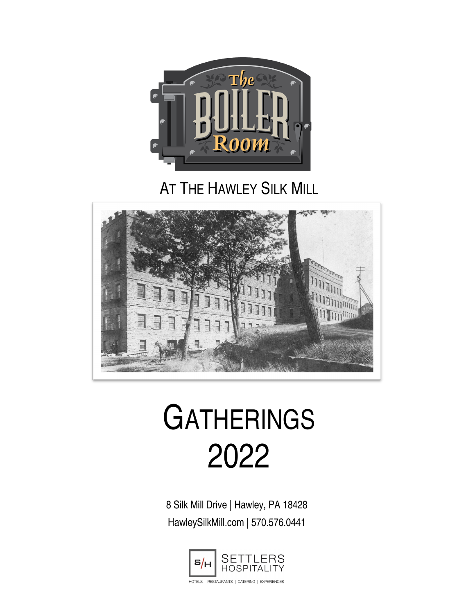

# **AT THE HAWLEY SILK MILL**



# **GATHERINGS** 2022

8 Silk Mill Drive | Hawley, PA 18428 HawleySilkMill.com | 570.576.0441

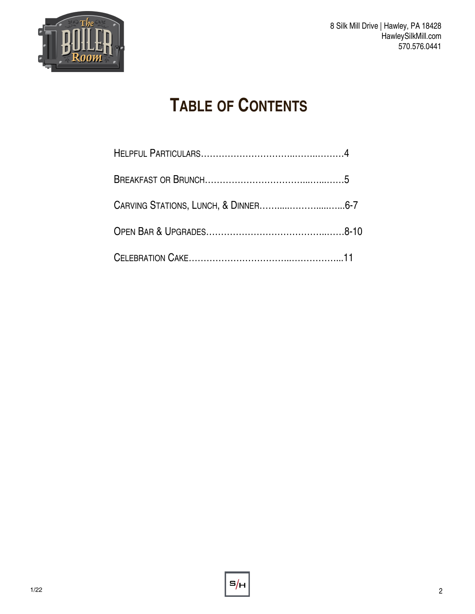

# **TABLE OF CONTENTS**

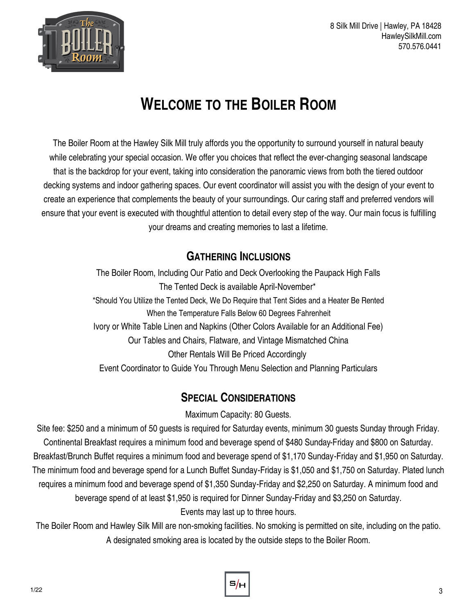

# **WELCOME TO THE BOILER ROOM**

The Boiler Room at the Hawley Silk Mill truly affords you the opportunity to surround yourself in natural beauty while celebrating your special occasion. We offer you choices that reflect the ever-changing seasonal landscape that is the backdrop for your event, taking into consideration the panoramic views from both the tiered outdoor decking systems and indoor gathering spaces. Our event coordinator will assist you with the design of your event to create an experience that complements the beauty of your surroundings. Our caring staff and preferred vendors will ensure that your event is executed with thoughtful attention to detail every step of the way. Our main focus is fulfilling your dreams and creating memories to last a lifetime.

### **GATHERING INCLUSIONS**

The Boiler Room, Including Our Patio and Deck Overlooking the Paupack High Falls The Tented Deck is available April-November\* \*Should You Utilize the Tented Deck, We Do Require that Tent Sides and a Heater Be Rented When the Temperature Falls Below 60 Degrees Fahrenheit Ivory or White Table Linen and Napkins (Other Colors Available for an Additional Fee) Our Tables and Chairs, Flatware, and Vintage Mismatched China Other Rentals Will Be Priced Accordingly Event Coordinator to Guide You Through Menu Selection and Planning Particulars

# **SPECIAL CONSIDERATIONS**

Maximum Capacity: 80 Guests.

Site fee: \$250 and a minimum of 50 guests is required for Saturday events, minimum 30 guests Sunday through Friday. Continental Breakfast requires a minimum food and beverage spend of \$480 Sunday-Friday and \$800 on Saturday. Breakfast/Brunch Buffet requires a minimum food and beverage spend of \$1,170 Sunday-Friday and \$1,950 on Saturday. The minimum food and beverage spend for a Lunch Buffet Sunday-Friday is \$1,050 and \$1,750 on Saturday. Plated lunch requires a minimum food and beverage spend of \$1,350 Sunday-Friday and \$2,250 on Saturday. A minimum food and beverage spend of at least \$1,950 is required for Dinner Sunday-Friday and \$3,250 on Saturday. Events may last up to three hours.

The Boiler Room and Hawley Silk Mill are non-smoking facilities. No smoking is permitted on site, including on the patio. A designated smoking area is located by the outside steps to the Boiler Room.

s/.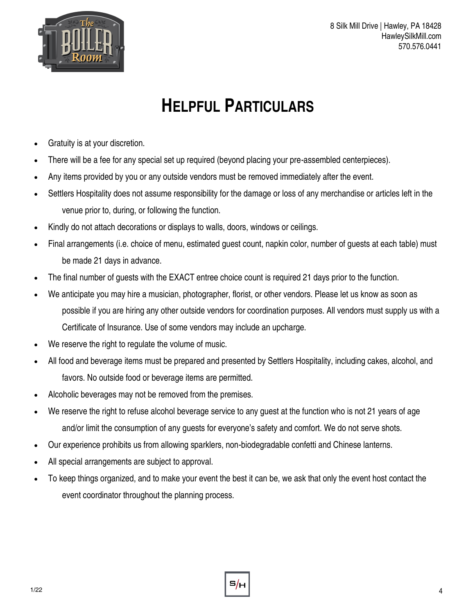

# **HELPFUL PARTICULARS**

- Gratuity is at your discretion.
- There will be a fee for any special set up required (beyond placing your pre-assembled centerpieces).
- Any items provided by you or any outside vendors must be removed immediately after the event.
- Settlers Hospitality does not assume responsibility for the damage or loss of any merchandise or articles left in the venue prior to, during, or following the function.
- Kindly do not attach decorations or displays to walls, doors, windows or ceilings.
- Final arrangements (i.e. choice of menu, estimated guest count, napkin color, number of guests at each table) must be made 21 days in advance.
- The final number of quests with the EXACT entree choice count is required 21 days prior to the function.
- We anticipate you may hire a musician, photographer, florist, or other vendors. Please let us know as soon as possible if you are hiring any other outside vendors for coordination purposes. All vendors must supply us with a Certificate of Insurance. Use of some vendors may include an upcharge.
- We reserve the right to regulate the volume of music.
- All food and beverage items must be prepared and presented by Settlers Hospitality, including cakes, alcohol, and favors. No outside food or beverage items are permitted.
- Alcoholic beverages may not be removed from the premises.
- We reserve the right to refuse alcohol beverage service to any guest at the function who is not 21 years of age and/or limit the consumption of any guests for everyone's safety and comfort. We do not serve shots.
- Our experience prohibits us from allowing sparklers, non-biodegradable confetti and Chinese lanterns.
- All special arrangements are subject to approval.
- To keep things organized, and to make your event the best it can be, we ask that only the event host contact the event coordinator throughout the planning process.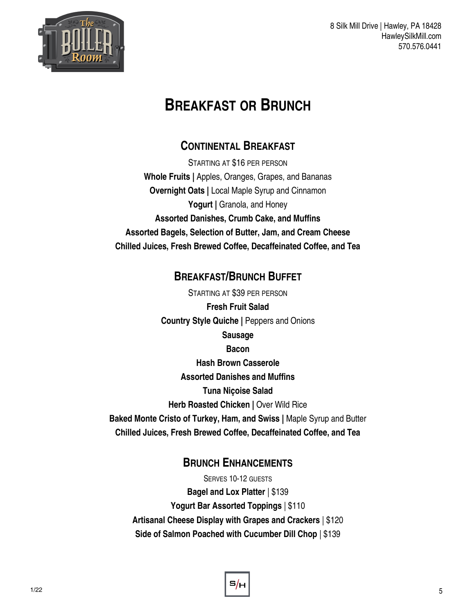

# **BREAKFAST OR BRUNCH**

### **CONTINENTAL BREAKFAST**

STARTING AT \$16 PER PERSON **Whole Fruits |** Apples, Oranges, Grapes, and Bananas **Overnight Oats |** Local Maple Syrup and Cinnamon Yogurt | Granola, and Honey **Assorted Danishes, Crumb Cake, and Muffins Assorted Bagels, Selection of Butter, Jam, and Cream Cheese Chilled Juices, Fresh Brewed Coffee, Decaffeinated Coffee, and Tea**

### **BREAKFAST/BRUNCH BUFFET**

STARTING AT \$39 PER PERSON **Fresh Fruit Salad Country Style Quiche |** Peppers and Onions **Sausage Bacon Hash Brown Casserole Assorted Danishes and Muffins Tuna Niçoise Salad Herb Roasted Chicken | Over Wild Rice Baked Monte Cristo of Turkey, Ham, and Swiss |** Maple Syrup and Butter **Chilled Juices, Fresh Brewed Coffee, Decaffeinated Coffee, and Tea**

### **BRUNCH ENHANCEMENTS**

SERVES 10-12 GUESTS **Bagel and Lox Platter** | \$139 **Yogurt Bar Assorted Toppings** | \$110 **Artisanal Cheese Display with Grapes and Crackers** | \$120 **Side of Salmon Poached with Cucumber Dill Chop** | \$139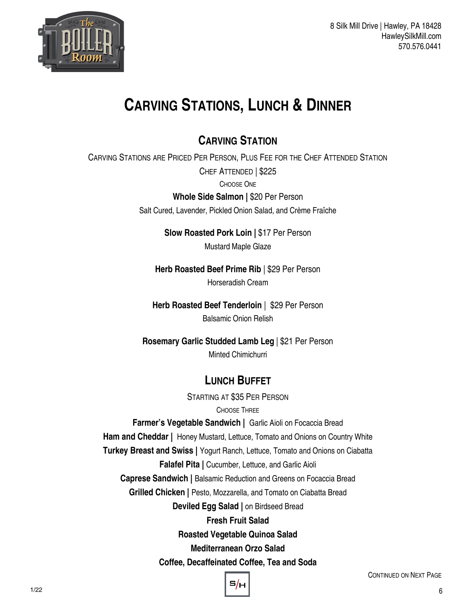

# **CARVING STATIONS, LUNCH & DINNER**

# **CARVING STATION**

CARVING STATIONS ARE PRICED PER PERSON, PLUS FEE FOR THE CHEF ATTENDED STATION CHEF ATTENDED | \$225

CHOOSE ONE

**Whole Side Salmon |** \$20 Per Person

Salt Cured, Lavender, Pickled Onion Salad, and Crème Fraîche

**Slow Roasted Pork Loin |** \$17 Per Person Mustard Maple Glaze

**Herb Roasted Beef Prime Rib** | \$29 Per Person Horseradish Cream

**Herb Roasted Beef Tenderloin** | \$29 Per Person Balsamic Onion Relish

**Rosemary Garlic Studded Lamb Leg** | \$21 Per Person Minted Chimichurri

# **LUNCH BUFFET**

STARTING AT \$35 PER PERSON

#### CHOOSE THREE

**Farmer's Vegetable Sandwich |** Garlic Aioli on Focaccia Bread

**Ham and Cheddar |** Honey Mustard, Lettuce, Tomato and Onions on Country White

**Turkey Breast and Swiss |** Yogurt Ranch, Lettuce, Tomato and Onions on Ciabatta

#### **Falafel Pita |** Cucumber, Lettuce, and Garlic Aioli

**Caprese Sandwich |** Balsamic Reduction and Greens on Focaccia Bread

**Grilled Chicken | Pesto, Mozzarella, and Tomato on Ciabatta Bread** 

**Deviled Egg Salad |** on Birdseed Bread

#### **Fresh Fruit Salad**

**Roasted Vegetable Quinoa Salad**

**Mediterranean Orzo Salad**

**Coffee, Decaffeinated Coffee, Tea and Soda**

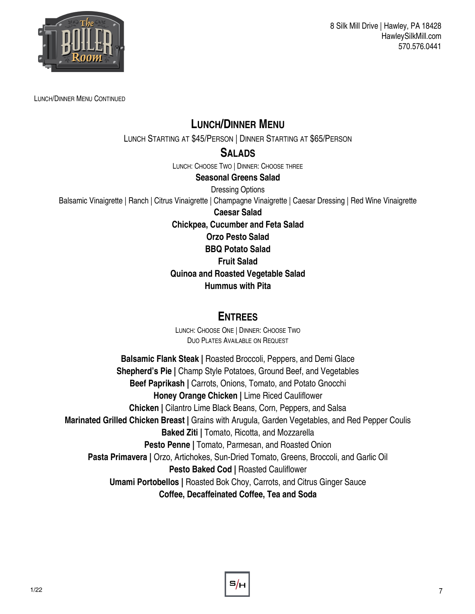

LUNCH/DINNER MENU CONTINUED

### **LUNCH/DINNER MENU**

LUNCH STARTING AT \$45/PERSON | DINNER STARTING AT \$65/PERSON

#### **SALADS**

LUNCH: CHOOSE TWO | DINNER: CHOOSE THREE

#### **Seasonal Greens Salad**

#### Dressing Options

Balsamic Vinaigrette | Ranch | Citrus Vinaigrette | Champagne Vinaigrette | Caesar Dressing | Red Wine Vinaigrette

**Caesar Salad**

**Chickpea, Cucumber and Feta Salad**

**Orzo Pesto Salad**

**BBQ Potato Salad**

#### **Fruit Salad**

**Quinoa and Roasted Vegetable Salad**

#### **Hummus with Pita**

#### **ENTREES**

LUNCH: CHOOSE ONE | DINNER: CHOOSE TWO DUO PLATES AVAILABLE ON REQUEST

**Balsamic Flank Steak |** Roasted Broccoli, Peppers, and Demi Glace **Shepherd's Pie | Champ Style Potatoes, Ground Beef, and Vegetables Beef Paprikash |** Carrots, Onions, Tomato, and Potato Gnocchi **Honey Orange Chicken |** Lime Riced Cauliflower **Chicken |** Cilantro Lime Black Beans, Corn, Peppers, and Salsa **Marinated Grilled Chicken Breast |** Grains with Arugula, Garden Vegetables, and Red Pepper Coulis **Baked Ziti |** Tomato, Ricotta, and Mozzarella **Pesto Penne |** Tomato, Parmesan, and Roasted Onion **Pasta Primavera |** Orzo, Artichokes, Sun-Dried Tomato, Greens, Broccoli, and Garlic Oil **Pesto Baked Cod | Roasted Cauliflower Umami Portobellos |** Roasted Bok Choy, Carrots, and Citrus Ginger Sauce **Coffee, Decaffeinated Coffee, Tea and Soda**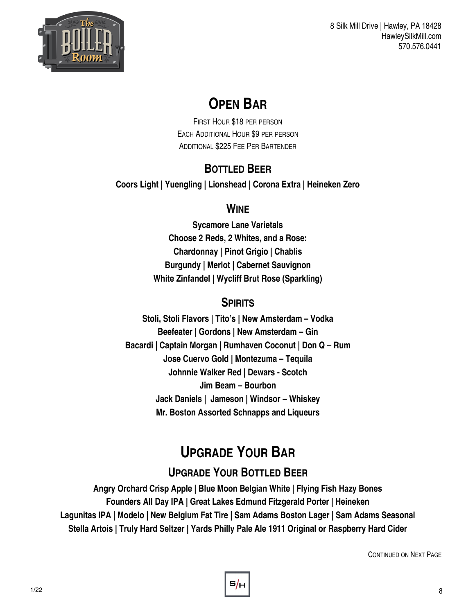

# **OPEN BAR**

FIRST HOUR \$18 PER PERSON EACH ADDITIONAL HOUR \$9 PER PERSON ADDITIONAL \$225 FEE PER BARTENDER

# **BOTTLED BEER**

**Coors Light | Yuengling | Lionshead | Corona Extra | Heineken Zero** 

## **WINE**

**Sycamore Lane Varietals Choose 2 Reds, 2 Whites, and a Rose: Chardonnay | Pinot Grigio | Chablis Burgundy | Merlot | Cabernet Sauvignon White Zinfandel | Wycliff Brut Rose (Sparkling)**

# **SPIRITS**

**Stoli, Stoli Flavors | Tito's | New Amsterdam – Vodka Beefeater | Gordons | New Amsterdam – Gin Bacardi | Captain Morgan | Rumhaven Coconut | Don Q – Rum Jose Cuervo Gold | Montezuma – Tequila Johnnie Walker Red | Dewars - Scotch Jim Beam – Bourbon Jack Daniels | Jameson | Windsor – Whiskey Mr. Boston Assorted Schnapps and Liqueurs**

# **UPGRADE YOUR BAR**

# **UPGRADE YOUR BOTTLED BEER**

**Angry Orchard Crisp Apple | Blue Moon Belgian White | Flying Fish Hazy Bones Founders All Day IPA | Great Lakes Edmund Fitzgerald Porter | Heineken Lagunitas IPA | Modelo | New Belgium Fat Tire | Sam Adams Boston Lager | Sam Adams Seasonal Stella Artois | Truly Hard Seltzer | Yards Philly Pale Ale 1911 Original or Raspberry Hard Cider** 

CONTINUED ON NEXT PAGE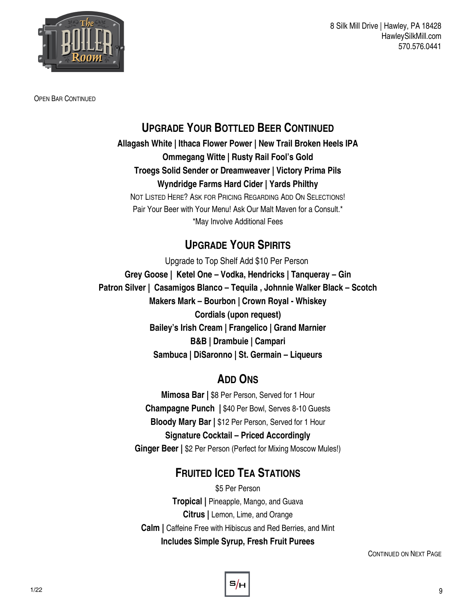

OPEN BAR CONTINUED

### **UPGRADE YOUR BOTTLED BEER CONTINUED**

**Allagash White | Ithaca Flower Power | New Trail Broken Heels IPA Ommegang Witte | Rusty Rail Fool's Gold Troegs Solid Sender or Dreamweaver | Victory Prima Pils Wyndridge Farms Hard Cider | Yards Philthy**  NOT LISTED HERE? ASK FOR PRICING REGARDING ADD ON SELECTIONS!

Pair Your Beer with Your Menu! Ask Our Malt Maven for a Consult.\* \*May Involve Additional Fees

## **UPGRADE YOUR SPIRITS**

Upgrade to Top Shelf Add \$10 Per Person **Grey Goose | Ketel One – Vodka, Hendricks | Tanqueray – Gin Patron Silver | Casamigos Blanco – Tequila , Johnnie Walker Black – Scotch Makers Mark – Bourbon | Crown Royal - Whiskey Cordials (upon request) Bailey's Irish Cream | Frangelico | Grand Marnier B&B | Drambuie | Campari Sambuca | DiSaronno | St. Germain – Liqueurs**

# **ADD ONS**

**Mimosa Bar |** \$8 Per Person, Served for 1 Hour **Champagne Punch |** \$40 Per Bowl, Serves 8-10 Guests **Bloody Mary Bar |** \$12 Per Person, Served for 1 Hour **Signature Cocktail – Priced Accordingly Ginger Beer |** \$2 Per Person (Perfect for Mixing Moscow Mules!)

# **FRUITED ICED TEA STATIONS**

\$5 Per Person **Tropical |** Pineapple, Mango, and Guava **Citrus |** Lemon, Lime, and Orange **Calm |** Caffeine Free with Hibiscus and Red Berries, and Mint **Includes Simple Syrup, Fresh Fruit Purees**

CONTINUED ON NEXT PAGE

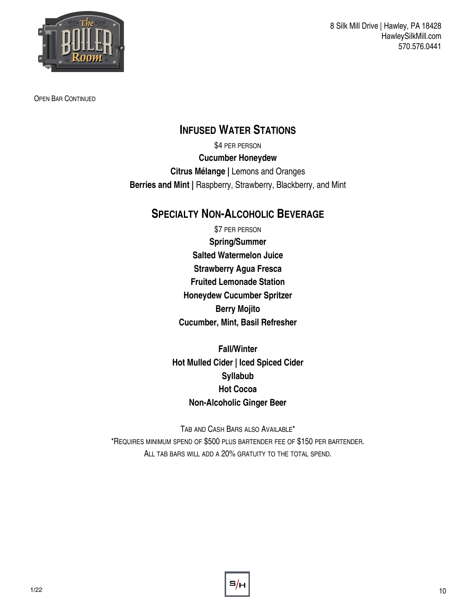

OPEN BAR CONTINUED

#### **INFUSED WATER STATIONS**

\$4 PER PERSON **Cucumber Honeydew Citrus Mélange |** Lemons and Oranges **Berries and Mint |** Raspberry, Strawberry, Blackberry, and Mint

### **SPECIALTY NON-ALCOHOLIC BEVERAGE**

\$7 PER PERSON **Spring/Summer Salted Watermelon Juice Strawberry Agua Fresca Fruited Lemonade Station Honeydew Cucumber Spritzer Berry Mojito Cucumber, Mint, Basil Refresher**

**Fall/Winter Hot Mulled Cider | Iced Spiced Cider Syllabub Hot Cocoa Non-Alcoholic Ginger Beer**

TAB AND CASH BARS ALSO AVAILABLE\* \*REQUIRES MINIMUM SPEND OF \$500 PLUS BARTENDER FEE OF \$150 PER BARTENDER. ALL TAB BARS WILL ADD A 20% GRATUITY TO THE TOTAL SPEND.